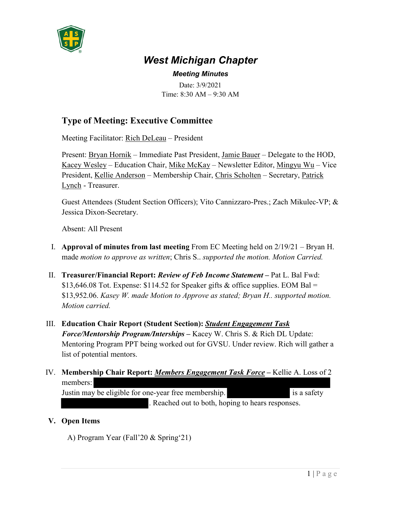

## *West Michigan Chapter*

*Meeting Minutes* Date: 3/9/2021 Time: 8:30 AM – 9:30 AM

## **Type of Meeting: Executive Committee**

Meeting Facilitator: Rich DeLeau – President

Present: Bryan Hornik – Immediate Past President, Jamie Bauer – Delegate to the HOD, Kacey Wesley – Education Chair, Mike McKay – Newsletter Editor, Mingyu Wu – Vice President, Kellie Anderson – Membership Chair, Chris Scholten – Secretary, Patrick Lynch - Treasurer.

Guest Attendees (Student Section Officers); Vito Cannizzaro-Pres.; Zach Mikulec-VP; & Jessica Dixon-Secretary.

Absent: All Present

- I. **Approval of minutes from last meeting** From EC Meeting held on 2/19/21 Bryan H. made *motion to approve as written*; Chris S.. *supported the motion. Motion Carried.*
- II. **Treasurer/Financial Report:** *Review of Feb Income Statement*Pat L. Bal Fwd: \$13,646.08 Tot. Expense: \$114.52 for Speaker gifts & office supplies. EOM Bal = \$13,952.06. *Kasey W. made Motion to Approve as stated; Bryan H.. supported motion. Motion carried.*
- III. **Education Chair Report (Student Section):** *Student Engagement Task Force/Mentorship Program/Interships* **–** Kacey W. Chris S. & Rich DL Update: Mentoring Program PPT being worked out for GVSU. Under review. Rich will gather a list of potential mentors.
- IV. **Membership Chair Report:** *Members Engagement Task Force*Kellie A. Loss of 2 members: Justin may be eligible for one-year free membership. is a safety . Reached out to both, hoping to hears responses.

## **V. Open Items**

A) Program Year (Fall'20 & Spring'21)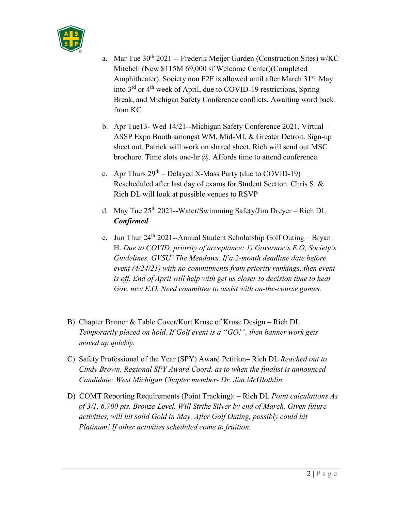

- a. Mar Tue 30<sup>th</sup> 2021 -- Frederik Meijer Garden (Construction Sites) w/KC Mitchell (New \$115M 69,000 sf Welcome Center)(Completed Amphitheater). Society non F2F is allowed until after March  $31<sup>st</sup>$ . May into  $3<sup>rd</sup>$  or  $4<sup>th</sup>$  week of April, due to COVID-19 restrictions, Spring Break, and Michigan Safety Conference conflicts. Awaiting word back from KC
- b. Apr Tue13- Wed 14/21--Michigan Safety Conference 2021, Virtual ASSP Expo Booth amongst WM, Mid-MI, & Greater Detroit. Sign-up sheet out. Patrick will work on shared sheet. Rich will send out MSC brochure. Time slots one-hr @. Affords time to attend conference.
- c. Apr Thurs  $29^{th}$  Delayed X-Mass Party (due to COVID-19) Rescheduled after last day of exams for Student Section. Chris S. & Rich DL will look at possible venues to RSVP
- d. May Tue 25th 2021--Water/Swimming Safety/Jim Dreyer Rich DL *Confirmed*
- e. Jun Thur  $24^{th}$  2021--Annual Student Scholarship Golf Outing Bryan H. *Due to COVID, priority of acceptance: 1) Governor's E.O, Society's Guidelines, GVSU' The Meadows. If a 2-month deadline date before event (4/24/21) with no commitments from priority rankings, then event is off. End of April will help with get us closer to decision time to hear Gov. new E.O. Need committee to assist with on-the-course games.*
- B) Chapter Banner & Table Cover/Kurt Kruse of Kruse Design Rich DL *Temporarily placed on hold. If Golf event is a "GO!", then banner work gets moved up quickly.*
- C) Safety Professional of the Year (SPY) Award Petition– Rich DL *Reached out to Cindy Brown, Regional SPY Award Coord. as to when the finalist is announced Candidate: West Michigan Chapter member- Dr. Jim McGlothlin.*
- D) COMT Reporting Requirements (Point Tracking): Rich DL *Point calculations As of 3/1, 6,700 pts. Bronze-Level. Will Strike Silver by end of March. Given future activities, will hit solid Gold in May. After Golf Outing, possibly could hit Platinum! If other activities scheduled come to fruition.*